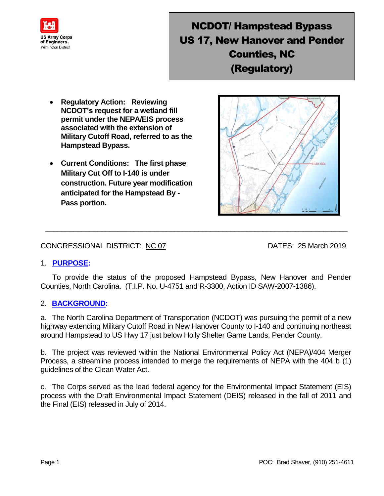

# NCDOT/ Hampstead Bypass US 17, New Hanover and Pender Counties, NC (Regulatory)

- **Regulatory Action: Reviewing NCDOT's request for a wetland fill permit under the NEPA/EIS process associated with the extension of Military Cutoff Road, referred to as the Hampstead Bypass.**
- **Current Conditions: The first phase Military Cut Off to I-140 is under construction. Future year modification anticipated for the Hampstead By - Pass portion.**

### CONGRESSIONAL DISTRICT: NC 07 DATES: 25 March 2019

#### 1. **PURPOSE:**

 To provide the status of the proposed Hampstead Bypass, New Hanover and Pender Counties, North Carolina. (T.I.P. No. U-4751 and R-3300, Action ID SAW-2007-1386).

**\_\_\_\_\_\_\_\_\_\_\_\_\_\_\_\_\_\_\_\_\_\_\_\_\_\_\_\_\_\_\_\_\_\_\_\_\_\_\_\_\_\_\_\_\_\_\_\_\_\_\_\_\_\_\_\_\_\_\_\_\_\_\_\_\_\_\_\_\_\_\_\_\_\_\_**

#### 2. **BACKGROUND:**

a. The North Carolina Department of Transportation (NCDOT) was pursuing the permit of a new highway extending Military Cutoff Road in New Hanover County to I-140 and continuing northeast around Hampstead to US Hwy 17 just below Holly Shelter Game Lands, Pender County.

b. The project was reviewed within the National Environmental Policy Act (NEPA)/404 Merger Process, a streamline process intended to merge the requirements of NEPA with the 404 b (1) guidelines of the Clean Water Act.

c. The Corps served as the lead federal agency for the Environmental Impact Statement (EIS) process with the Draft Environmental Impact Statement (DEIS) released in the fall of 2011 and the Final (EIS) released in July of 2014.